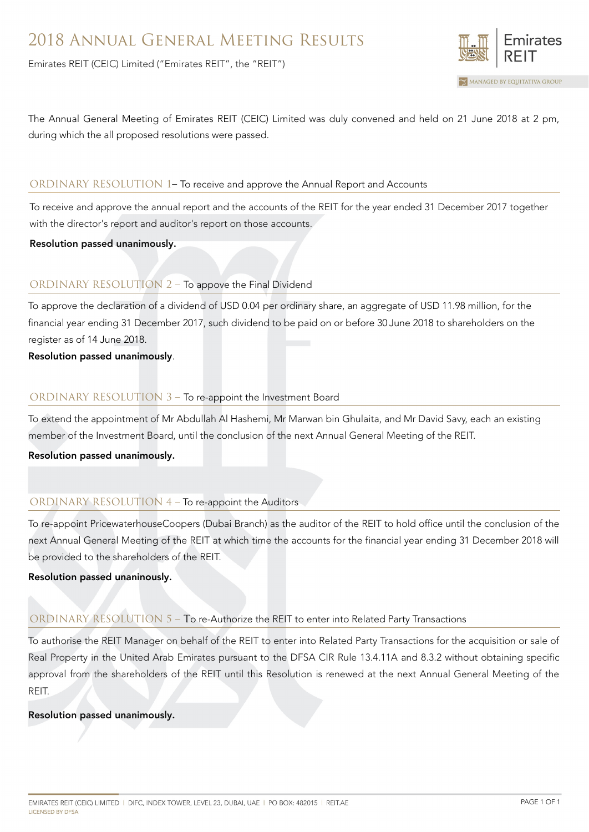Emirates REIT (CEIC) Limited ("Emirates REIT", the "REIT")



The Annual General Meeting of Emirates REIT (CEIC) Limited was duly convened and held on 21 June 2018 at 2 pm, during which the all proposed resolutions were passed.

### ORDINARY RESOLUTION 1– To receive and approve the Annual Report and Accounts

To receive and approve the annual report and the accounts of the REIT for the year ended 31 December 2017 together with the director's report and auditor's report on those accounts.

Resolution passed unanimously.

# ORDINARY RESOLUTION 2 – To appove the Final Dividend

To approve the declaration of a dividend of USD 0.04 per ordinary share, an aggregate of USD 11.98 million, for the financial year ending 31 December 2017, such dividend to be paid on or before 30 June 2018 to shareholders on the register as of 14 June 2018.

Resolution passed unanimously.

# ORDINARY RESOLUTION 3 – To re-appoint the Investment Board

To extend the appointment of Mr Abdullah Al Hashemi, Mr Marwan bin Ghulaita, and Mr David Savy, each an existing member of the Investment Board, until the conclusion of the next Annual General Meeting of the REIT.

Resolution passed unanimously.

# ORDINARY RESOLUTION 4 – To re-appoint the Auditors

To re-appoint PricewaterhouseCoopers (Dubai Branch) as the auditor of the REIT to hold office until the conclusion of the next Annual General Meeting of the REIT at which time the accounts for the financial year ending 31 December 2018 will be provided to the shareholders of the REIT.

# Resolution passed unaninously.

# ORDINARY RESOLUTION 5 – To re-Authorize the REIT to enter into Related Party Transactions

To authorise the REIT Manager on behalf of the REIT to enter into Related Party Transactions for the acquisition or sale of Real Property in the United Arab Emirates pursuant to the DFSA CIR Rule 13.4.11A and 8.3.2 without obtaining specific approval from the shareholders of the REIT until this Resolution is renewed at the next Annual General Meeting of the REIT.

### Resolution passed unanimously.